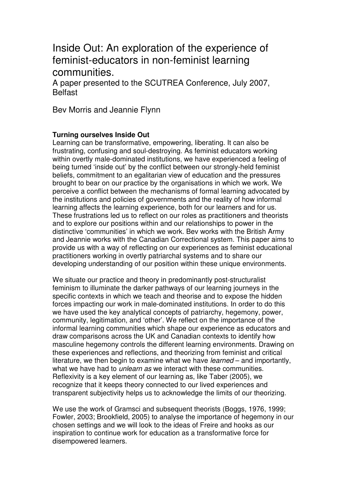# Inside Out: An exploration of the experience of feminist-educators in non-feminist learning communities.

A paper presented to the SCUTREA Conference, July 2007, **Belfast** 

Bev Morris and Jeannie Flynn

# **Turning ourselves Inside Out**

Learning can be transformative, empowering, liberating. It can also be frustrating, confusing and soul-destroying. As feminist educators working within overtly male-dominated institutions, we have experienced a feeling of being turned 'inside out' by the conflict between our strongly-held feminist beliefs, commitment to an egalitarian view of education and the pressures brought to bear on our practice by the organisations in which we work. We perceive a conflict between the mechanisms of formal learning advocated by the institutions and policies of governments and the reality of how informal learning affects the learning experience, both for our learners and for us. These frustrations led us to reflect on our roles as practitioners and theorists and to explore our positions within and our relationships to power in the distinctive 'communities' in which we work. Bev works with the British Army and Jeannie works with the Canadian Correctional system. This paper aims to provide us with a way of reflecting on our experiences as feminist educational practitioners working in overtly patriarchal systems and to share our developing understanding of our position within these unique environments.

We situate our practice and theory in predominantly post-structuralist feminism to illuminate the darker pathways of our learning journeys in the specific contexts in which we teach and theorise and to expose the hidden forces impacting our work in male-dominated institutions. In order to do this we have used the key analytical concepts of patriarchy, hegemony, power, community, legitimation, and 'other'. We reflect on the importance of the informal learning communities which shape our experience as educators and draw comparisons across the UK and Canadian contexts to identify how masculine hegemony controls the different learning environments. Drawing on these experiences and reflections, and theorizing from feminist and critical literature, we then begin to examine what we have learned – and importantly, what we have had to *unlearn as* we interact with these communities. Reflexivity is a key element of our learning as, like Taber (2005), we recognize that it keeps theory connected to our lived experiences and transparent subjectivity helps us to acknowledge the limits of our theorizing.

We use the work of Gramsci and subsequent theorists (Boggs, 1976, 1999; Fowler, 2003; Brookfield, 2005) to analyse the importance of hegemony in our chosen settings and we will look to the ideas of Freire and hooks as our inspiration to continue work for education as a transformative force for disempowered learners.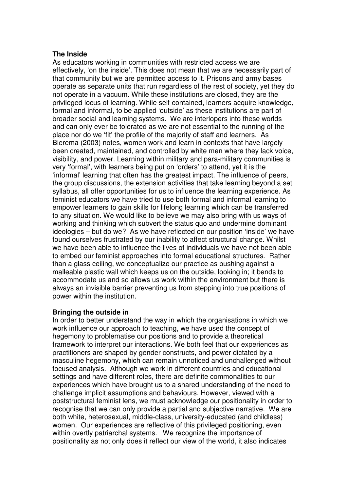## **The Inside**

As educators working in communities with restricted access we are effectively, 'on the inside'. This does not mean that we are necessarily part of that community but we are permitted access to it. Prisons and army bases operate as separate units that run regardless of the rest of society, yet they do not operate in a vacuum. While these institutions are closed, they are the privileged locus of learning. While self-contained, learners acquire knowledge, formal and informal, to be applied 'outside' as these institutions are part of broader social and learning systems. We are interlopers into these worlds and can only ever be tolerated as we are not essential to the running of the place nor do we 'fit' the profile of the majority of staff and learners. As Bierema (2003) notes, women work and learn in contexts that have largely been created, maintained, and controlled by white men where they lack voice, visibility, and power. Learning within military and para-military communities is very 'formal', with learners being put on 'orders' to attend, yet it is the 'informal' learning that often has the greatest impact. The influence of peers, the group discussions, the extension activities that take learning beyond a set syllabus, all offer opportunities for us to influence the learning experience. As feminist educators we have tried to use both formal and informal learning to empower learners to gain skills for lifelong learning which can be transferred to any situation. We would like to believe we may also bring with us ways of working and thinking which subvert the status quo and undermine dominant ideologies – but do we? As we have reflected on our position 'inside' we have found ourselves frustrated by our inability to affect structural change. Whilst we have been able to influence the lives of individuals we have not been able to embed our feminist approaches into formal educational structures. Rather than a glass ceiling, we conceptualize our practice as pushing against a malleable plastic wall which keeps us on the outside, looking in; it bends to accommodate us and so allows us work within the environment but there is always an invisible barrier preventing us from stepping into true positions of power within the institution.

## **Bringing the outside in**

In order to better understand the way in which the organisations in which we work influence our approach to teaching, we have used the concept of hegemony to problematise our positions and to provide a theoretical framework to interpret our interactions. We both feel that our experiences as practitioners are shaped by gender constructs, and power dictated by a masculine hegemony, which can remain unnoticed and unchallenged without focused analysis. Although we work in different countries and educational settings and have different roles, there are definite commonalities to our experiences which have brought us to a shared understanding of the need to challenge implicit assumptions and behaviours. However, viewed with a poststructural feminist lens, we must acknowledge our positionality in order to recognise that we can only provide a partial and subjective narrative. We are both white, heterosexual, middle-class, university-educated (and childless) women. Our experiences are reflective of this privileged positioning, even within overtly patriarchal systems. We recognize the importance of positionality as not only does it reflect our view of the world, it also indicates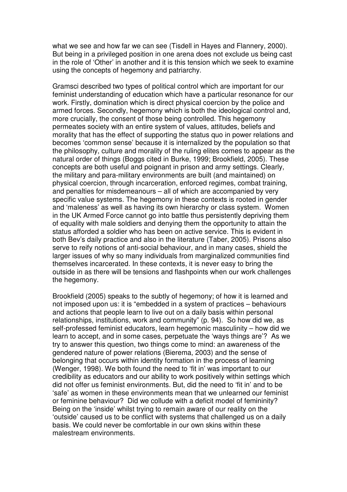what we see and how far we can see (Tisdell in Hayes and Flannery, 2000). But being in a privileged position in one arena does not exclude us being cast in the role of 'Other' in another and it is this tension which we seek to examine using the concepts of hegemony and patriarchy.

Gramsci described two types of political control which are important for our feminist understanding of education which have a particular resonance for our work. Firstly, domination which is direct physical coercion by the police and armed forces. Secondly, hegemony which is both the ideological control and, more crucially, the consent of those being controlled. This hegemony permeates society with an entire system of values, attitudes, beliefs and morality that has the effect of supporting the status quo in power relations and becomes 'common sense' because it is internalized by the population so that the philosophy, culture and morality of the ruling elites comes to appear as the natural order of things (Boggs cited in Burke, 1999; Brookfield, 2005). These concepts are both useful and poignant in prison and army settings. Clearly, the military and para-military environments are built (and maintained) on physical coercion, through incarceration, enforced regimes, combat training, and penalties for misdemeanours – all of which are accompanied by very specific value systems. The hegemony in these contexts is rooted in gender and 'maleness' as well as having its own hierarchy or class system. Women in the UK Armed Force cannot go into battle thus persistently depriving them of equality with male soldiers and denying them the opportunity to attain the status afforded a soldier who has been on active service. This is evident in both Bev's daily practice and also in the literature (Taber, 2005). Prisons also serve to reify notions of anti-social behaviour, and in many cases, shield the larger issues of why so many individuals from marginalized communities find themselves incarcerated. In these contexts, it is never easy to bring the outside in as there will be tensions and flashpoints when our work challenges the hegemony.

Brookfield (2005) speaks to the subtly of hegemony; of how it is learned and not imposed upon us: it is "embedded in a system of practices – behaviours and actions that people learn to live out on a daily basis within personal relationships, institutions, work and community" (p. 94). So how did we, as self-professed feminist educators, learn hegemonic masculinity – how did we learn to accept, and in some cases, perpetuate the 'ways things are'? As we try to answer this question, two things come to mind: an awareness of the gendered nature of power relations (Bierema, 2003) and the sense of belonging that occurs within identity formation in the process of learning (Wenger, 1998). We both found the need to 'fit in' was important to our credibility as educators and our ability to work positively within settings which did not offer us feminist environments. But, did the need to 'fit in' and to be 'safe' as women in these environments mean that we unlearned our feminist or feminine behaviour? Did we collude with a deficit model of femininity? Being on the 'inside' whilst trying to remain aware of our reality on the 'outside' caused us to be conflict with systems that challenged us on a daily basis. We could never be comfortable in our own skins within these malestream environments.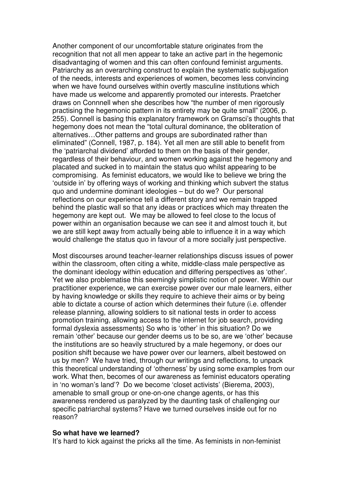Another component of our uncomfortable stature originates from the recognition that not all men appear to take an active part in the hegemonic disadvantaging of women and this can often confound feminist arguments. Patriarchy as an overarching construct to explain the systematic subjugation of the needs, interests and experiences of women, becomes less convincing when we have found ourselves within overtly masculine institutions which have made us welcome and apparently promoted our interests. Praetcher draws on Connnell when she describes how "the number of men rigorously practising the hegemonic pattern in its entirety may be quite small" (2006, p. 255). Connell is basing this explanatory framework on Gramsci's thoughts that hegemony does not mean the "total cultural dominance, the obliteration of alternatives…Other patterns and groups are subordinated rather than eliminated" (Connell, 1987, p. 184). Yet all men are still able to benefit from the 'patriarchal dividend' afforded to them on the basis of their gender, regardless of their behaviour, and women working against the hegemony and placated and sucked in to maintain the status quo whilst appearing to be compromising. As feminist educators, we would like to believe we bring the 'outside in' by offering ways of working and thinking which subvert the status quo and undermine dominant ideologies – but do we? Our personal reflections on our experience tell a different story and we remain trapped behind the plastic wall so that any ideas or practices which may threaten the hegemony are kept out. We may be allowed to feel close to the locus of power within an organisation because we can see it and almost touch it, but we are still kept away from actually being able to influence it in a way which would challenge the status quo in favour of a more socially just perspective.

Most discourses around teacher-learner relationships discuss issues of power within the classroom, often citing a white, middle-class male perspective as the dominant ideology within education and differing perspectives as 'other'. Yet we also problematise this seemingly simplistic notion of power. Within our practitioner experience, we can exercise power over our male learners, either by having knowledge or skills they require to achieve their aims or by being able to dictate a course of action which determines their future (i.e. offender release planning, allowing soldiers to sit national tests in order to access promotion training, allowing access to the internet for job search, providing formal dyslexia assessments) So who is 'other' in this situation? Do we remain 'other' because our gender deems us to be so, are we 'other' because the institutions are so heavily structured by a male hegemony, or does our position shift because we have power over our learners, albeit bestowed on us by men? We have tried, through our writings and reflections, to unpack this theoretical understanding of 'otherness' by using some examples from our work. What then, becomes of our awareness as feminist educators operating in 'no woman's land'? Do we become 'closet activists' (Bierema, 2003), amenable to small group or one-on-one change agents, or has this awareness rendered us paralyzed by the daunting task of challenging our specific patriarchal systems? Have we turned ourselves inside out for no reason?

#### **So what have we learned?**

It's hard to kick against the pricks all the time. As feminists in non-feminist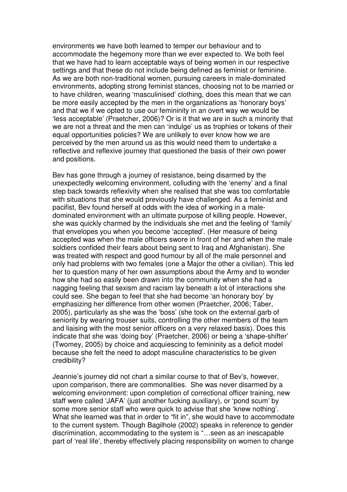environments we have both learned to temper our behaviour and to accommodate the hegemony more than we ever expected to. We both feel that we have had to learn acceptable ways of being women in our respective settings and that these do not include being defined as feminist or feminine. As we are both non-traditional women, pursuing careers in male-dominated environments, adopting strong feminist stances, choosing not to be married or to have children, wearing 'masculinised' clothing, does this mean that we can be more easily accepted by the men in the organizations as 'honorary boys' and that we if we opted to use our femininity in an overt way we would be 'less acceptable' (Praetcher, 2006)? Or is it that we are in such a minority that we are not a threat and the men can 'indulge' us as trophies or tokens of their equal opportunities policies? We are unlikely to ever know how we are perceived by the men around us as this would need them to undertake a reflective and reflexive journey that questioned the basis of their own power and positions.

Bev has gone through a journey of resistance, being disarmed by the unexpectedly welcoming environment, colluding with the 'enemy' and a final step back towards reflexivity when she realised that she was too comfortable with situations that she would previously have challenged. As a feminist and pacifist, Bev found herself at odds with the idea of working in a maledominated environment with an ultimate purpose of killing people. However, she was quickly charmed by the individuals she met and the feeling of 'family' that envelopes you when you become 'accepted'. (Her measure of being accepted was when the male officers swore in front of her and when the male soldiers confided their fears about being sent to Iraq and Afghanistan). She was treated with respect and good humour by all of the male personnel and only had problems with two females (one a Major the other a civilian). This led her to question many of her own assumptions about the Army and to wonder how she had so easily been drawn into the community when she had a nagging feeling that sexism and racism lay beneath a lot of interactions she could see. She began to feel that she had become 'an honorary boy' by emphasizing her difference from other women (Praetcher, 2006; Taber, 2005), particularly as she was the 'boss' (she took on the external garb of seniority by wearing trouser suits, controlling the other members of the team and liaising with the most senior officers on a very relaxed basis). Does this indicate that she was 'doing boy' (Praetcher, 2006) or being a 'shape-shifter' (Twomey, 2005) by choice and acquiescing to femininity as a deficit model because she felt the need to adopt masculine characteristics to be given credibility?

Jeannie's journey did not chart a similar course to that of Bev's, however, upon comparison, there are commonalities. She was never disarmed by a welcoming environment: upon completion of correctional officer training, new staff were called 'JAFA' (just another fucking auxiliary), or 'pond scum' by some more senior staff who were quick to advise that she 'knew nothing'. What she learned was that in order to "fit in", she would have to accommodate to the current system. Though Bagilhole (2002) speaks in reference to gender discrimination, accommodating to the system is "…seen as an inescapable part of 'real life', thereby effectively placing responsibility on women to change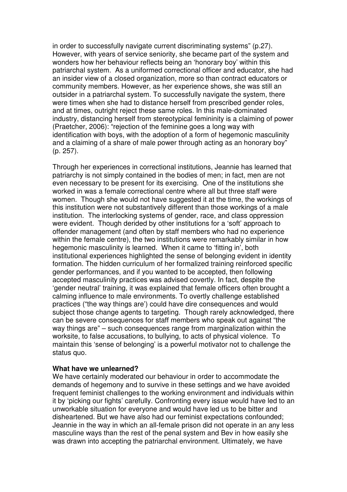in order to successfully navigate current discriminating systems" (p.27). However, with years of service seniority, she became part of the system and wonders how her behaviour reflects being an 'honorary boy' within this patriarchal system. As a uniformed correctional officer and educator, she had an insider view of a closed organization, more so than contract educators or community members. However, as her experience shows, she was still an outsider in a patriarchal system. To successfully navigate the system, there were times when she had to distance herself from prescribed gender roles, and at times, outright reject these same roles. In this male-dominated industry, distancing herself from stereotypical femininity is a claiming of power (Praetcher, 2006): "rejection of the feminine goes a long way with identification with boys, with the adoption of a form of hegemonic masculinity and a claiming of a share of male power through acting as an honorary boy" (p. 257).

Through her experiences in correctional institutions, Jeannie has learned that patriarchy is not simply contained in the bodies of men; in fact, men are not even necessary to be present for its exercising. One of the institutions she worked in was a female correctional centre where all but three staff were women. Though she would not have suggested it at the time, the workings of this institution were not substantively different than those workings of a male institution. The interlocking systems of gender, race, and class oppression were evident. Though derided by other institutions for a 'soft' approach to offender management (and often by staff members who had no experience within the female centre), the two institutions were remarkably similar in how hegemonic masculinity is learned. When it came to 'fitting in', both institutional experiences highlighted the sense of belonging evident in identity formation. The hidden curriculum of her formalized training reinforced specific gender performances, and if you wanted to be accepted, then following accepted masculinity practices was advised covertly. In fact, despite the 'gender neutral' training, it was explained that female officers often brought a calming influence to male environments. To overtly challenge established practices ("the way things are') could have dire consequences and would subject those change agents to targeting. Though rarely acknowledged, there can be severe consequences for staff members who speak out against "the way things are" – such consequences range from marginalization within the worksite, to false accusations, to bullying, to acts of physical violence. To maintain this 'sense of belonging' is a powerful motivator not to challenge the status quo.

### **What have we unlearned?**

We have certainly moderated our behaviour in order to accommodate the demands of hegemony and to survive in these settings and we have avoided frequent feminist challenges to the working environment and individuals within it by 'picking our fights' carefully. Confronting every issue would have led to an unworkable situation for everyone and would have led us to be bitter and disheartened. But we have also had our feminist expectations confounded; Jeannie in the way in which an all-female prison did not operate in an any less masculine ways than the rest of the penal system and Bev in how easily she was drawn into accepting the patriarchal environment. Ultimately, we have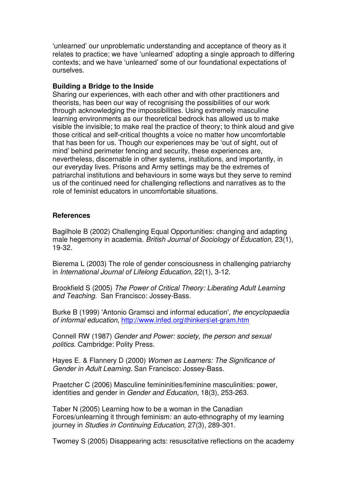'unlearned' our unproblematic understanding and acceptance of theory as it relates to practice; we have 'unlearned' adopting a single approach to differing contexts; and we have 'unlearned' some of our foundational expectations of ourselves.

## **Building a Bridge to the Inside**

Sharing our experiences, with each other and with other practitioners and theorists, has been our way of recognising the possibilities of our work through acknowledging the impossibilities. Using extremely masculine learning environments as our theoretical bedrock has allowed us to make visible the invisible; to make real the practice of theory; to think aloud and give those critical and self-critical thoughts a voice no matter how uncomfortable that has been for us. Though our experiences may be 'out of sight, out of mind' behind perimeter fencing and security, these experiences are, nevertheless, discernable in other systems, institutions, and importantly, in our everyday lives. Prisons and Army settings may be the extremes of patriarchal institutions and behaviours in some ways but they serve to remind us of the continued need for challenging reflections and narratives as to the role of feminist educators in uncomfortable situations.

## **References**

Bagilhole B (2002) Challenging Equal Opportunities: changing and adapting male hegemony in academia. British Journal of Sociology of Education, 23(1), 19-32.

Bierema L (2003) The role of gender consciousness in challenging patriarchy in International Journal of Lifelong Education, 22(1), 3-12.

Brookfield S (2005) The Power of Critical Theory: Liberating Adult Learning and Teaching. San Francisco: Jossey-Bass.

Burke B (1999) 'Antonio Gramsci and informal education', the encyclopaedia of informal education, http://www.infed.org\thinkers\et-gram.htm

Connell RW (1987) Gender and Power: society, the person and sexual politics. Cambridge: Polity Press.

Hayes E. & Flannery D (2000) Women as Learners: The Significance of Gender in Adult Learning. San Francisco: Jossey-Bass.

Praetcher C (2006) Masculine femininities/feminine masculinities: power, identities and gender in Gender and Education, 18(3), 253-263.

Taber N (2005) Learning how to be a woman in the Canadian Forces/unlearning it through feminism: an auto-ethnography of my learning journey in Studies in Continuing Education, 27(3), 289-301.

Twomey S (2005) Disappearing acts: resuscitative reflections on the academy